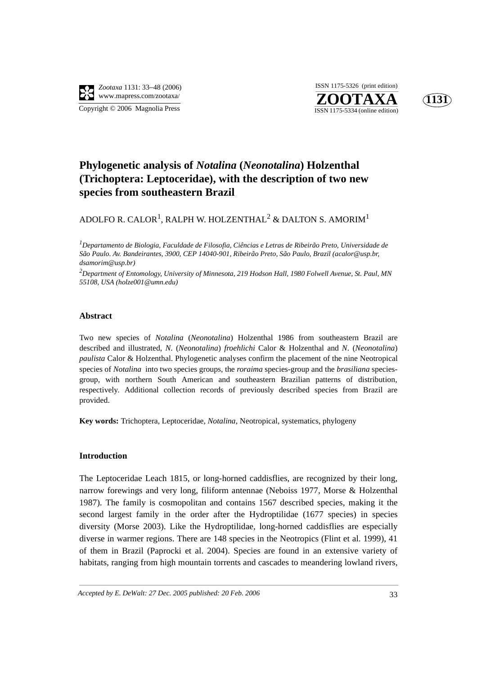

**ZOOTAXA**<br>ISSN 1175-5334 (online edition) ISSN 1175-5326 (print edition)



# **Phylogenetic analysis of** *Notalina* **(***Neonotalina***) Holzenthal (Trichoptera: Leptoceridae), with the description of two new species from southeastern Brazil**

ADOLFO R. CALOR $^{\rm l}$ , RALPH W. HOLZENTHAL $^{\rm 2}$  & DALTON S. AMORIM $^{\rm l}$ 

*1 Departamento de Biologia, Faculdade de Filosofia, Ciências e Letras de Ribeirão Preto, Universidade de São Paulo. Av. Bandeirantes, 3900, CEP 14040-901, Ribeirão Preto, São Paulo, Brazil (acalor@usp.br, dsamorim@usp.br)* 

*2 Department of Entomology, University of Minnesota, 219 Hodson Hall, 1980 Folwell Avenue, St. Paul, MN 55108, USA (holze001@umn.edu)*

#### **Abstract**

Two new species of *Notalina* (*Neonotalina*) Holzenthal 1986 from southeastern Brazil are described and illustrated, *N*. (*Neonotalina*) *froehlichi* Calor & Holzenthal and *N*. (*Neonotalina*) *paulista* Calor & Holzenthal. Phylogenetic analyses confirm the placement of the nine Neotropical species of *Notalina* into two species groups, the *roraima* species-group and the *brasiliana* speciesgroup, with northern South American and southeastern Brazilian patterns of distribution, respectively. Additional collection records of previously described species from Brazil are provided.

**Key words:** Trichoptera, Leptoceridae, *Notalina*, Neotropical, systematics, phylogeny

## **Introduction**

The Leptoceridae Leach 1815, or long-horned caddisflies, are recognized by their long, narrow forewings and very long, filiform antennae (Neboiss 1977, Morse & Holzenthal 1987). The family is cosmopolitan and contains 1567 described species, making it the second largest family in the order after the Hydroptilidae (1677 species) in species diversity (Morse 2003). Like the Hydroptilidae, long-horned caddisflies are especially diverse in warmer regions. There are 148 species in the Neotropics (Flint et al. 1999), 41 of them in Brazil (Paprocki et al. 2004). Species are found in an extensive variety of habitats, ranging from high mountain torrents and cascades to meandering lowland rivers,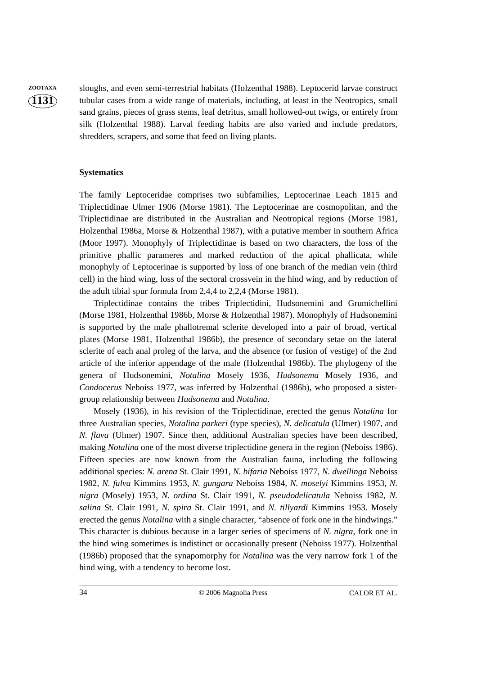**ZOOTAXA** sloughs, and even semi-terrestrial habitats (Holzenthal 1988). Leptocerid larvae construct tubular cases from a wide range of materials, including, at least in the Neotropics, small sand grains, pieces of grass stems, leaf detritus, small hollowed-out twigs, or entirely from silk (Holzenthal 1988). Larval feeding habits are also varied and include predators, shredders, scrapers, and some that feed on living plants.

#### **Systematics**

The family Leptoceridae comprises two subfamilies, Leptocerinae Leach 1815 and Triplectidinae Ulmer 1906 (Morse 1981). The Leptocerinae are cosmopolitan, and the Triplectidinae are distributed in the Australian and Neotropical regions (Morse 1981, Holzenthal 1986a, Morse & Holzenthal 1987), with a putative member in southern Africa (Moor 1997). Monophyly of Triplectidinae is based on two characters, the loss of the primitive phallic parameres and marked reduction of the apical phallicata, while monophyly of Leptocerinae is supported by loss of one branch of the median vein (third cell) in the hind wing, loss of the sectoral crossvein in the hind wing, and by reduction of the adult tibial spur formula from 2,4,4 to 2,2,4 (Morse 1981).

Triplectidinae contains the tribes Triplectidini, Hudsonemini and Grumichellini (Morse 1981, Holzenthal 1986b, Morse & Holzenthal 1987). Monophyly of Hudsonemini is supported by the male phallotremal sclerite developed into a pair of broad, vertical plates (Morse 1981, Holzenthal 1986b), the presence of secondary setae on the lateral sclerite of each anal proleg of the larva, and the absence (or fusion of vestige) of the 2nd article of the inferior appendage of the male (Holzenthal 1986b). The phylogeny of the genera of Hudsonemini, *Notalina* Mosely 1936, *Hudsonema* Mosely 1936, and *Condocerus* Neboiss 1977, was inferred by Holzenthal (1986b), who proposed a sistergroup relationship between *Hudsonema* and *Notalina*.

Mosely (1936), in his revision of the Triplectidinae, erected the genus *Notalina* for three Australian species, *Notalina parkeri* (type species)*, N. delicatula* (Ulmer) 1907, and *N. flava* (Ulmer) 1907. Since then, additional Australian species have been described, making *Notalina* one of the most diverse triplectidine genera in the region (Neboiss 1986). Fifteen species are now known from the Australian fauna, including the following additional species: *N. arena* St. Clair 1991, *N. bifaria* Neboiss 1977, *N. dwellinga* Neboiss 1982, *N. fulva* Kimmins 1953, *N. gungara* Neboiss 1984, *N. moselyi* Kimmins 1953, *N. nigra* (Mosely) 1953, *N. ordina* St. Clair 1991, *N. pseudodelicatula* Neboiss 1982, *N. salina* St. Clair 1991, *N. spira* St. Clair 1991, and *N. tillyardi* Kimmins 1953. Mosely erected the genus *Notalina* with a single character, "absence of fork one in the hindwings." This character is dubious because in a larger series of specimens of *N. nigra,* fork one in the hind wing sometimes is indistinct or occasionally present (Neboiss 1977). Holzenthal (1986b) proposed that the synapomorphy for *Notalina* was the very narrow fork 1 of the hind wing, with a tendency to become lost.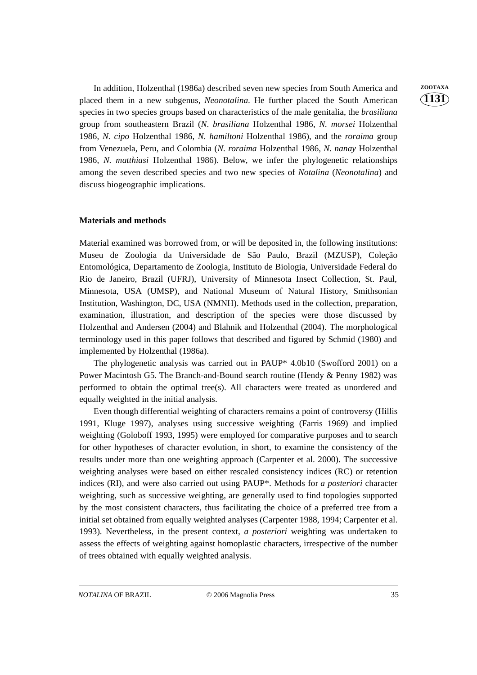In addition, Holzenthal (1986a) described seven new species from South America and **ZOOTAXA** placed them in a new subgenus, *Neonotalina*. He further placed the South American species in two species groups based on characteristics of the male genitalia, the *brasiliana* group from southeastern Brazil (*N*. *brasiliana* Holzenthal 1986, *N. morsei* Holzenthal 1986, *N. cipo* Holzenthal 1986, *N. hamiltoni* Holzenthal 1986), and the *roraima* group from Venezuela, Peru, and Colombia (*N. roraima* Holzenthal 1986, *N. nanay* Holzenthal 1986, *N. matthiasi* Holzenthal 1986). Below, we infer the phylogenetic relationships among the seven described species and two new species of *Notalina* (*Neonotalina*) and discuss biogeographic implications.

#### **Materials and methods**

Material examined was borrowed from, or will be deposited in, the following institutions: Museu de Zoologia da Universidade de São Paulo, Brazil (MZUSP), Coleção Entomológica, Departamento de Zoologia, Instituto de Biologia, Universidade Federal do Rio de Janeiro, Brazil (UFRJ), University of Minnesota Insect Collection, St. Paul, Minnesota, USA (UMSP), and National Museum of Natural History, Smithsonian Institution, Washington, DC, USA (NMNH). Methods used in the collection, preparation, examination, illustration, and description of the species were those discussed by Holzenthal and Andersen (2004) and Blahnik and Holzenthal (2004). The morphological terminology used in this paper follows that described and figured by Schmid (1980) and implemented by Holzenthal (1986a).

The phylogenetic analysis was carried out in PAUP\* 4.0b10 (Swofford 2001) on a Power Macintosh G5. The Branch-and-Bound search routine (Hendy & Penny 1982) was performed to obtain the optimal tree(s). All characters were treated as unordered and equally weighted in the initial analysis.

Even though differential weighting of characters remains a point of controversy (Hillis 1991, Kluge 1997), analyses using successive weighting (Farris 1969) and implied weighting (Goloboff 1993, 1995) were employed for comparative purposes and to search for other hypotheses of character evolution, in short, to examine the consistency of the results under more than one weighting approach (Carpenter et al. 2000). The successive weighting analyses were based on either rescaled consistency indices (RC) or retention indices (RI), and were also carried out using PAUP\*. Methods for *a posteriori* character weighting, such as successive weighting, are generally used to find topologies supported by the most consistent characters, thus facilitating the choice of a preferred tree from a initial set obtained from equally weighted analyses (Carpenter 1988, 1994; Carpenter et al. 1993). Nevertheless, in the present context, *a posteriori* weighting was undertaken to assess the effects of weighting against homoplastic characters, irrespective of the number of trees obtained with equally weighted analysis.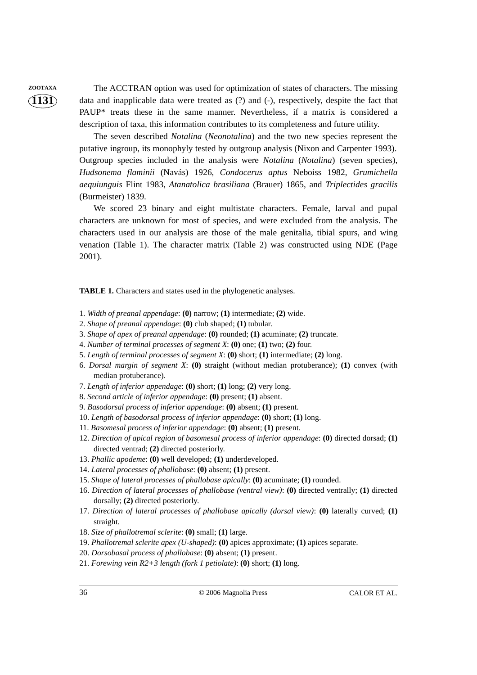**ZOOTAXA** The ACCTRAN option was used for optimization of states of characters. The missing data and inapplicable data were treated as (?) and (-), respectively, despite the fact that PAUP\* treats these in the same manner. Nevertheless, if a matrix is considered a description of taxa, this information contributes to its completeness and future utility.

> The seven described *Notalina* (*Neonotalina*) and the two new species represent the putative ingroup, its monophyly tested by outgroup analysis (Nixon and Carpenter 1993). Outgroup species included in the analysis were *Notalina* (*Notalina*) (seven species), *Hudsonema flaminii* (Navás) 1926, *Condocerus aptus* Neboiss 1982, *Grumichella aequiunguis* Flint 1983, *Atanatolica brasiliana* (Brauer) 1865, and *Triplectides gracilis* (Burmeister) 1839.

> We scored 23 binary and eight multistate characters. Female, larval and pupal characters are unknown for most of species, and were excluded from the analysis. The characters used in our analysis are those of the male genitalia, tibial spurs, and wing venation (Table 1). The character matrix (Table 2) was constructed using NDE (Page 2001).

**TABLE 1.** Characters and states used in the phylogenetic analyses.

- 1. *Width of preanal appendage*: **(0)** narrow; **(1)** intermediate; **(2)** wide.
- 2. *Shape of preanal appendage*: **(0)** club shaped; **(1)** tubular.
- 3. *Shape of apex of preanal appendage*: **(0)** rounded; **(1)** acuminate; **(2)** truncate.
- 4. *Number of terminal processes of segment X*: **(0)** one; **(1)** two; **(2)** four.
- 5. *Length of terminal processes of segment X*: **(0)** short; **(1)** intermediate; **(2)** long.
- 6. *Dorsal margin of segment X*: **(0)** straight (without median protuberance); **(1)** convex (with median protuberance).
- 7. *Length of inferior appendage*: **(0)** short; **(1)** long; **(2)** very long.
- 8. *Second article of inferior appendage*: **(0)** present; **(1)** absent.
- 9. *Basodorsal process of inferior appendage*: **(0)** absent; **(1)** present.
- 10. *Length of basodorsal process of inferior appendage*: **(0)** short; **(1)** long.
- 11. *Basomesal process of inferior appendage*: **(0)** absent; **(1)** present.
- 12. *Direction of apical region of basomesal process of inferior appendage*: **(0)** directed dorsad; **(1)** directed ventrad; **(2)** directed posteriorly.
- 13. *Phallic apodeme*: **(0)** well developed; **(1)** underdeveloped.
- 14. *Lateral processes of phallobase*: **(0)** absent; **(1)** present.
- 15. *Shape of lateral processes of phallobase apically*: **(0)** acuminate; **(1)** rounded.
- 16. *Direction of lateral processes of phallobase (ventral view)*: **(0)** directed ventrally; **(1)** directed dorsally; **(2)** directed posteriorly.
- 17. *Direction of lateral processes of phallobase apically (dorsal view)*: **(0)** laterally curved; **(1)** straight.
- 18. *Size of phallotremal sclerite*: **(0)** small; **(1)** large.
- 19. *Phallotremal sclerite apex (U-shaped)*: **(0)** apices approximate; **(1)** apices separate.
- 20. *Dorsobasal process of phallobase*: **(0)** absent; **(1)** present.
- 21. *Forewing vein R2+3 length (fork 1 petiolate)*: **(0)** short; **(1)** long.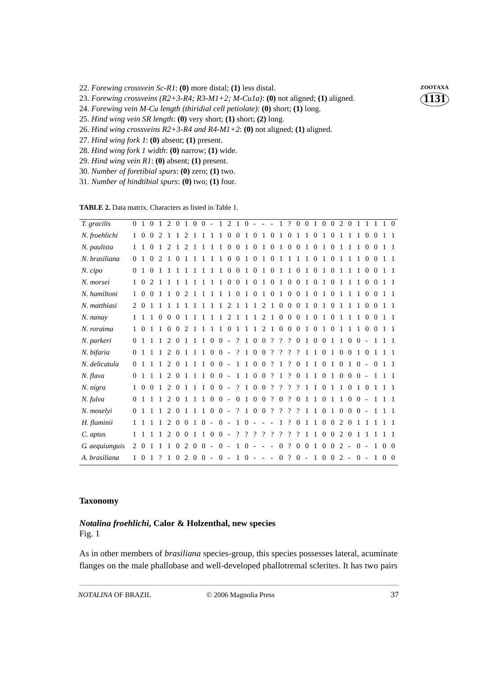22. Forewing crossvein Sc-R1: (0) more distal; (1) less distal. **ZOOTAXA** 

23. *Forewing crossveins (R2+3-R4; R3-M1+2; M-Cu1a)*: **(0)** not aligned; **(1)** aligned.

24. *Forewing vein M-Cu length (thiridial cell petiolate)*: **(0)** short; **(1)** long.

- 25. *Hind wing vein SR length*: **(0)** very short; **(1)** short; **(2)** long.
- 26. *Hind wing crossveins R2+3-R4 and R4-M1+2*: **(0)** not aligned; **(1)** aligned.
- 27. *Hind wing fork 1*: **(0)** absent; **(1)** present.
- 28. *Hind wing fork 1 width*: **(0)** narrow; **(1)** wide.
- 29. *Hind wing vein R1*: **(0)** absent; **(1)** present.
- 30. *Number of foretibial spurs*: **(0)** zero; **(1)** two.
- 31. *Number of hindtibial spurs*: **(0)** two; **(1)** four.

| <b>TABLE 2.</b> Data matrix. Characters as listed in Table 1. |  |  |  |
|---------------------------------------------------------------|--|--|--|
|---------------------------------------------------------------|--|--|--|

| T. gracilis    |                |                 |                |                |                |                |                             |                |                |                                               |              |              |                          |              |            |                |                 |                |                          |                 |                |                |                |                   |                |                |                                               |                |                | 0 1 0 1 2 0 1 0 0 - 1 2 1 0 - - - - - - 1 ? 0 0 1 0 0 2 0 1 1 1 1 1 0 |                |
|----------------|----------------|-----------------|----------------|----------------|----------------|----------------|-----------------------------|----------------|----------------|-----------------------------------------------|--------------|--------------|--------------------------|--------------|------------|----------------|-----------------|----------------|--------------------------|-----------------|----------------|----------------|----------------|-------------------|----------------|----------------|-----------------------------------------------|----------------|----------------|-----------------------------------------------------------------------|----------------|
| N. froehlichi  |                | $1\quad$        | $\Omega$       | $\mathcal{L}$  | $\overline{1}$ |                | $\mathcal{D}_{\mathcal{L}}$ |                |                |                                               |              |              | $0\quad 0$               | 1 0          |            | 1 0            |                 | $\mathbf{1}$   | $\theta$                 | 1               | 1              | $\Omega$       |                | $\Omega$          | 1              | 1              |                                               | $\Omega$       | $\Omega$       |                                                                       |                |
| N. paulista    |                | $1\quad1$       | $\Omega$       | $\overline{1}$ |                |                |                             |                |                |                                               |              |              |                          |              |            |                |                 |                |                          |                 |                |                |                |                   |                | $\mathbf{1}$   | $\mathbf{1}$                                  | $\Omega$       | $\Omega$       | $1\quad1$                                                             |                |
| N. brasiliana  | $\overline{0}$ | $\mathbf{1}$    | $\Omega$       | 2 1 0 1        |                |                |                             | $\overline{1}$ | $\overline{1}$ | $\overline{1}$                                |              |              |                          |              |            |                | 1 0 0 1 0 1 0 1 |                | $\overline{1}$           | 1 1 0 1 0       |                |                |                |                   | $\mathbf{1}$   | $\overline{1}$ | $\mathbf{1}$                                  | $\Omega$       | $\Omega$       |                                                                       | $\overline{1}$ |
| N. cipo        |                | $0 \t1 \t0$     |                | 1111           |                |                |                             |                |                | 1 1 1 1 0 0 1 0 1 0 1 1 0 1 0 1 0 1 1 1       |              |              |                          |              |            |                |                 |                |                          |                 |                |                |                |                   |                |                |                                               |                |                | $0 \t0 \t1 \t1$                                                       |                |
| N. morsei      |                | $1\quad \Omega$ | $\mathfrak{D}$ | $\mathbf{1}$   | $\overline{1}$ | $\overline{1}$ | $\overline{1}$              |                | $\overline{1}$ |                                               | $\mathbf{1}$ | $0\quad 0$   |                          | 1 0          |            |                | 1 0 1           |                |                          | $0 \t0 \t1 \t0$ |                |                |                | $1\quad0$         | $\mathbf{1}$   | $\mathbf{1}$   | 1                                             | $\Omega$       | $\Omega$       |                                                                       |                |
| N. hamiltoni   |                | $\theta$        | $\Omega$       | $\overline{1}$ | $\overline{1}$ | $\overline{0}$ | $\overline{c}$              |                |                |                                               |              | $\mathbf{1}$ | $\overline{0}$           | $1\quad0$    |            | $\overline{1}$ | $\overline{0}$  | $\overline{1}$ | $\overline{0}$           | $\overline{0}$  |                | $\overline{0}$ |                | $\theta$          |                |                |                                               | $\overline{0}$ | $\Omega$       |                                                                       |                |
| N. matthiasi   |                | 2 0             | $\overline{1}$ |                |                |                |                             |                |                |                                               |              |              |                          |              |            |                |                 |                |                          |                 |                |                |                |                   | $\overline{1}$ | $\mathbf{1}$   | $\mathbf{1}$                                  | $\Omega$       | $\Omega$       | $1\quad1$                                                             |                |
| N. nanay       |                | $1\quad1$       |                |                |                |                |                             |                |                |                                               |              |              |                          |              |            |                |                 |                |                          |                 |                |                |                |                   | $1\quad1$      |                | $\overline{1}$                                |                | 0 <sub>0</sub> | $1\quad1$                                                             |                |
| N. roraima     |                | $1\quad 0$      |                |                |                |                |                             |                |                |                                               |              |              |                          |              |            |                |                 |                |                          |                 |                |                |                |                   |                |                |                                               |                |                |                                                                       |                |
| N. parkeri     | $\Omega$       |                 |                | $\overline{1}$ |                | 2 0            | $\overline{1}$              | $\overline{1}$ | $\mathbf{1}$   |                                               | $0 \t 0 -$   |              | $\overline{\mathcal{L}}$ | $\mathbf{1}$ | $0\quad 0$ |                | $\gamma$        | $\gamma$       | $\gamma$                 | $\theta$        |                | $\theta$       | $\Omega$       | $\mathbf{1}$      | $\mathbf{1}$   |                | $0 \t 0 =$                                    |                | $\overline{1}$ |                                                                       | $1\quad1$      |
| N. bifaria     | $\Omega$       |                 |                | $\overline{1}$ | 2 0            |                | -1                          | $\overline{1}$ |                | $1 \t0 \t0$ -                                 |              |              | $\overline{?}$           | 1 0 0        |            |                | $\gamma$        | $\gamma$       | $\gamma$                 | $\gamma$        |                |                | $\overline{0}$ |                   | $\overline{0}$ | $\overline{0}$ | $\mathbf{1}$                                  | $\Omega$       |                |                                                                       |                |
| N. delicatula  | $\Omega$       |                 |                |                |                |                |                             |                |                | $1 1 2 0 1 1 1 0 0 -$                         |              |              |                          |              |            |                | 1 1 0 0 ? 1     |                | $\overline{\mathcal{L}}$ | $\overline{0}$  | 1              |                | $1\quad$ 0     | $\overline{1}$    | $\overline{0}$ |                | $1 \ 0 =$                                     |                | $\theta$       | $1\quad1$                                                             |                |
| N. flava       | $\Omega$       | $\overline{1}$  |                |                |                |                |                             |                |                | $1 1 2 0 1 1 1 0 0 - 1 1 0 0 ? 1$             |              |              |                          |              |            |                |                 |                | $\ddot{?}$ 0             |                 | $\overline{1}$ |                |                |                   |                |                | $101000 -$                                    |                | -1             |                                                                       | $1\quad1$      |
| N. nigra       |                |                 |                |                |                |                |                             |                |                |                                               |              |              |                          |              |            |                |                 |                |                          |                 |                |                |                |                   |                |                |                                               |                |                | 1 0 0 1 2 0 1 1 1 0 0 - ? 1 0 0 ? ? ? ? 1 1 0 1 1 0 1 0 1 1 1         |                |
| N. fulva       | $\Omega$       |                 | $\overline{1}$ | $\overline{1}$ | 2 0            |                | $\overline{1}$              | $\overline{1}$ |                | $1\;0\;0\;$ - 0                               |              |              |                          | 1 0 0        |            |                | $\ddot{?}$ 0    |                | $\gamma$                 | $\Omega$        | 1              | 1              | $\Omega$       | $\mathbf{1}$      | $\mathbf{1}$   |                | $0 \t 0 =$                                    |                | $\overline{1}$ |                                                                       | $\overline{1}$ |
| N. moselyi     |                | $0 \t1 \t1$     |                | $\overline{1}$ |                | 2 0 1          |                             |                |                | $1 1 0 0 -$                                   |              |              | ? 1 0 0                  |              |            |                | 2 <sub>2</sub>  |                | $\gamma$                 | $\gamma$        |                |                | $\mathbf{0}$   | $\mathbf{1}$      | $\overline{0}$ |                | $0 \t 0 -$                                    |                | $\overline{1}$ |                                                                       | $1\quad1$      |
| H. flaminii    |                |                 | $\overline{1}$ |                |                |                |                             |                |                | $1 2 0 0 1 0 - 0 -$                           |              |              | $1 \ 0 \ -$              |              |            |                | $- - 1$ ?       |                |                          | $\theta$        | 1              | $\mathbf{1}$   |                | $0\quad 0$        |                | 2 0            | $\overline{1}$                                | $\overline{1}$ |                |                                                                       |                |
| C. aptus       |                |                 | $\overline{1}$ | $\overline{1}$ |                |                |                             |                |                | 2 0 0 1 1 0 0 -                               |              |              |                          |              |            |                | ? ? ? ? ? ? ?   |                |                          | $\gamma$        | 1              | $\mathbf{1}$   |                | $0 \t0 \t2 \t0$   |                |                | $\mathbf{1}$                                  | -1             |                |                                                                       |                |
| G. aequiunguis |                | 2 0             | $\overline{1}$ |                |                |                |                             |                |                | $1 1 0 2 0 0 - 0 -$                           |              |              |                          |              |            |                |                 |                |                          |                 |                |                |                |                   |                |                | $1\ 0\ -\ -\ 0\ ?\ 0\ 0\ 1\ 0\ 0\ 2\ -\ 0\ -$ |                | $\,1\,$        |                                                                       | 0 <sub>0</sub> |
| A. brasiliana  |                | $1\quad$        | -1             | $\gamma$       | -1             | $\overline{0}$ |                             |                |                | $2\ 0\ 0\ -\ 0\ -\ 1\ 0\ -\ -\ -\ 0\ 2\ 0\ -$ |              |              |                          |              |            |                |                 |                |                          |                 |                |                |                | $1 \t0 \t0 \t2$ - |                |                | $0 -$                                         |                | $\mathbf{1}$   |                                                                       | $0\quad 0$     |

#### **Taxonomy**

# *Notalina froehlichi***, Calor & Holzenthal, new species**

Fig. 1

As in other members of *brasiliana* species-group, this species possesses lateral, acuminate flanges on the male phallobase and well-developed phallotremal sclerites. It has two pairs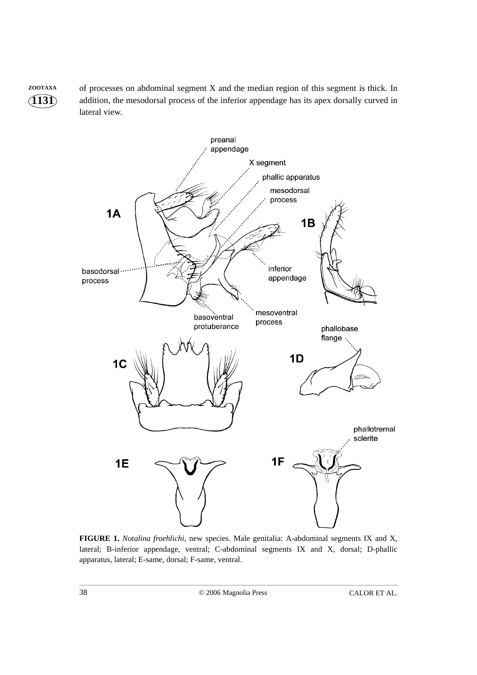**1131 ZOOTAXA** of processes on abdominal segment X and the median region of this segment is thick. In addition, the mesodorsal process of the inferior appendage has its apex dorsally curved in lateral view.



**FIGURE 1.** *Notalina froehlichi*, new species. Male genitalia: A-abdominal segments IX and X, lateral; B-inferior appendage, ventral; C-abdominal segments IX and X, dorsal; D-phallic apparatus, lateral; E-same, dorsal; F-same, ventral.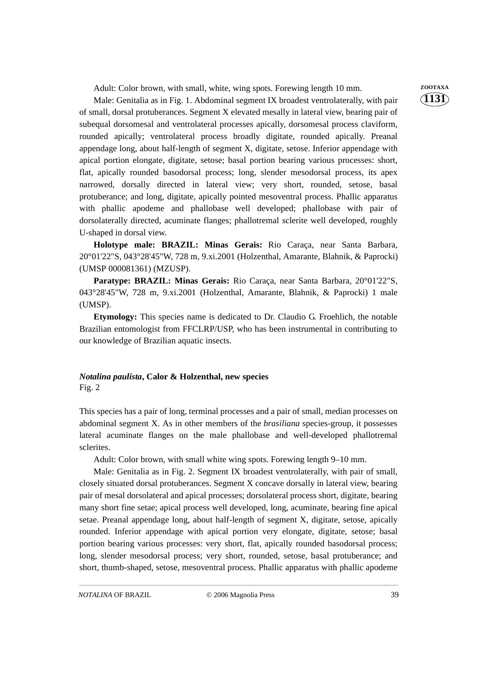Adult: Color brown, with small, white, wing spots. Forewing length 10 mm. **ZOOTAXA** 

Male: Genitalia as in Fig. 1. Abdominal segment IX broadest ventrolaterally, with pair of small, dorsal protuberances. Segment X elevated mesally in lateral view, bearing pair of subequal dorsomesal and ventrolateral processes apically, dorsomesal process claviform, rounded apically; ventrolateral process broadly digitate, rounded apically. Preanal appendage long, about half-length of segment X, digitate, setose. Inferior appendage with apical portion elongate, digitate, setose; basal portion bearing various processes: short, flat, apically rounded basodorsal process; long, slender mesodorsal process, its apex narrowed, dorsally directed in lateral view; very short, rounded, setose, basal protuberance; and long, digitate, apically pointed mesoventral process. Phallic apparatus with phallic apodeme and phallobase well developed; phallobase with pair of dorsolaterally directed, acuminate flanges; phallotremal sclerite well developed, roughly U-shaped in dorsal view.

**Holotype male: BRAZIL: Minas Gerais:** Rio Caraça, near Santa Barbara, 20°01'22"S, 043°28'45"W, 728 m, 9.xi.2001 (Holzenthal, Amarante, Blahnik, & Paprocki) (UMSP 000081361) (MZUSP).

**Paratype: BRAZIL: Minas Gerais:** Rio Caraça, near Santa Barbara, 20°01'22"S, 043°28'45"W, 728 m, 9.xi.2001 (Holzenthal, Amarante, Blahnik, & Paprocki) 1 male (UMSP).

**Etymology:** This species name is dedicated to Dr. Claudio G. Froehlich, the notable Brazilian entomologist from FFCLRP/USP, who has been instrumental in contributing to our knowledge of Brazilian aquatic insects.

#### *Notalina paulista***, Calor & Holzenthal, new species** Fig. 2

This species has a pair of long, terminal processes and a pair of small, median processes on abdominal segment X. As in other members of the *brasiliana* species-group, it possesses lateral acuminate flanges on the male phallobase and well-developed phallotremal sclerites.

Adult: Color brown, with small white wing spots. Forewing length 9–10 mm.

Male: Genitalia as in Fig. 2. Segment IX broadest ventrolaterally, with pair of small, closely situated dorsal protuberances. Segment X concave dorsally in lateral view, bearing pair of mesal dorsolateral and apical processes; dorsolateral process short, digitate, bearing many short fine setae; apical process well developed, long, acuminate, bearing fine apical setae. Preanal appendage long, about half-length of segment X, digitate, setose, apically rounded. Inferior appendage with apical portion very elongate, digitate, setose; basal portion bearing various processes: very short, flat, apically rounded basodorsal process; long, slender mesodorsal process; very short, rounded, setose, basal protuberance; and short, thumb-shaped, setose, mesoventral process. Phallic apparatus with phallic apodeme

*NOTALINA* OF BRAZIL © 2006 Magnolia Press 39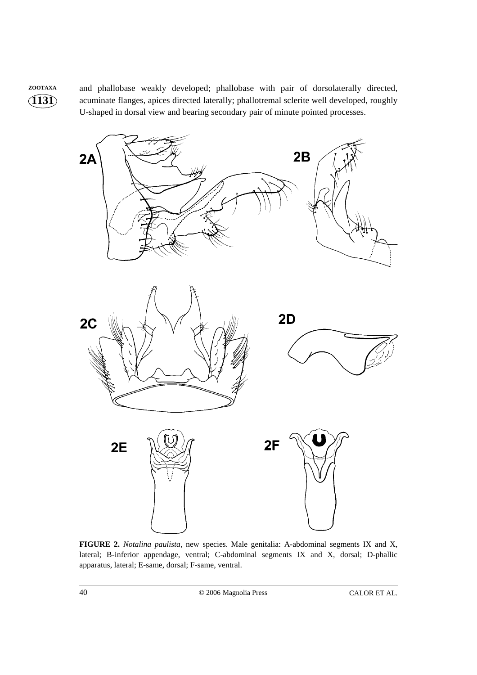**ZOOTAXA** and phallobase weakly developed; phallobase with pair of dorsolaterally directed, acuminate flanges, apices directed laterally; phallotremal sclerite well developed, roughly U-shaped in dorsal view and bearing secondary pair of minute pointed processes.



**FIGURE 2.** *Notalina paulista*, new species. Male genitalia: A-abdominal segments IX and X, lateral; B-inferior appendage, ventral; C-abdominal segments IX and X, dorsal; D-phallic apparatus, lateral; E-same, dorsal; F-same, ventral.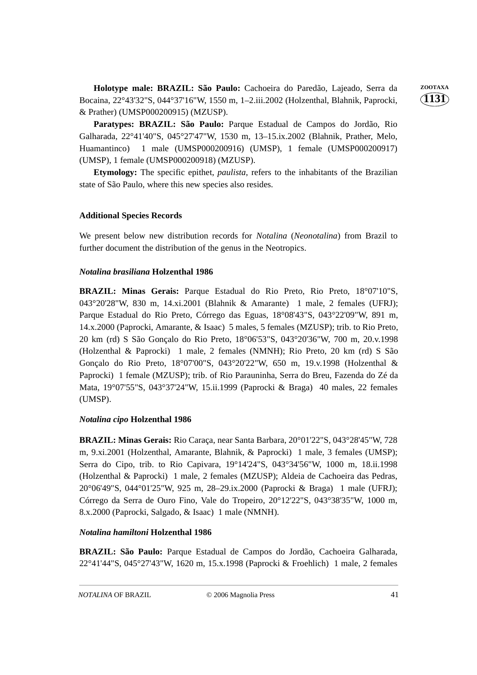Holotype male: BRAZIL: São Paulo: Cachoeira do Paredão, Lajeado, Serra da **ZOOTAXA** Bocaina, 22°43'32"S, 044°37'16"W, 1550 m, 1–2.iii.2002 (Holzenthal, Blahnik, Paprocki, & Prather) (UMSP000200915) (MZUSP).

**Paratypes: BRAZIL: São Paulo:** Parque Estadual de Campos do Jordão, Rio Galharada, 22°41'40"S, 045°27'47"W, 1530 m, 13–15.ix.2002 (Blahnik, Prather, Melo, Huamantinco) 1 male (UMSP000200916) (UMSP), 1 female (UMSP000200917) (UMSP), 1 female (UMSP000200918) (MZUSP).

**Etymology:** The specific epithet, *paulista*, refers to the inhabitants of the Brazilian state of São Paulo, where this new species also resides.

## **Additional Species Records**

We present below new distribution records for *Notalina* (*Neonotalina*) from Brazil to further document the distribution of the genus in the Neotropics.

## *Notalina brasiliana* **Holzenthal 1986**

**BRAZIL: Minas Gerais:** Parque Estadual do Rio Preto, Rio Preto, 18°07'10"S, 043°20'28"W, 830 m, 14.xi.2001 (Blahnik & Amarante) 1 male, 2 females (UFRJ); Parque Estadual do Rio Preto, Córrego das Eguas, 18°08'43"S, 043°22'09"W, 891 m, 14.x.2000 (Paprocki, Amarante, & Isaac) 5 males, 5 females (MZUSP); trib. to Rio Preto, 20 km (rd) S São Gonçalo do Rio Preto, 18°06'53"S, 043°20'36"W, 700 m, 20.v.1998 (Holzenthal & Paprocki) 1 male, 2 females (NMNH); Rio Preto, 20 km (rd) S São Gonçalo do Rio Preto, 18°07'00"S, 043°20'22"W, 650 m, 19.v.1998 (Holzenthal & Paprocki) 1 female (MZUSP); trib. of Rio Parauninha, Serra do Breu, Fazenda do Zé da Mata, 19°07'55"S, 043°37'24"W, 15.ii.1999 (Paprocki & Braga) 40 males, 22 females (UMSP).

## *Notalina cipo* **Holzenthal 1986**

**BRAZIL: Minas Gerais:** Rio Caraça, near Santa Barbara, 20°01'22"S, 043°28'45"W, 728 m, 9.xi.2001 (Holzenthal, Amarante, Blahnik, & Paprocki) 1 male, 3 females (UMSP); Serra do Cipo, trib. to Rio Capivara, 19°14'24"S, 043°34'56"W, 1000 m, 18.ii.1998 (Holzenthal & Paprocki) 1 male, 2 females (MZUSP); Aldeia de Cachoeira das Pedras, 20°06'49"S, 044°01'25"W, 925 m, 28–29.ix.2000 (Paprocki & Braga) 1 male (UFRJ); Córrego da Serra de Ouro Fino, Vale do Tropeiro, 20°12'22"S, 043°38'35"W, 1000 m, 8.x.2000 (Paprocki, Salgado, & Isaac) 1 male (NMNH).

## *Notalina hamiltoni* **Holzenthal 1986**

**BRAZIL: São Paulo:** Parque Estadual de Campos do Jordão, Cachoeira Galharada, 22°41'44"S, 045°27'43"W, 1620 m, 15.x.1998 (Paprocki & Froehlich) 1 male, 2 females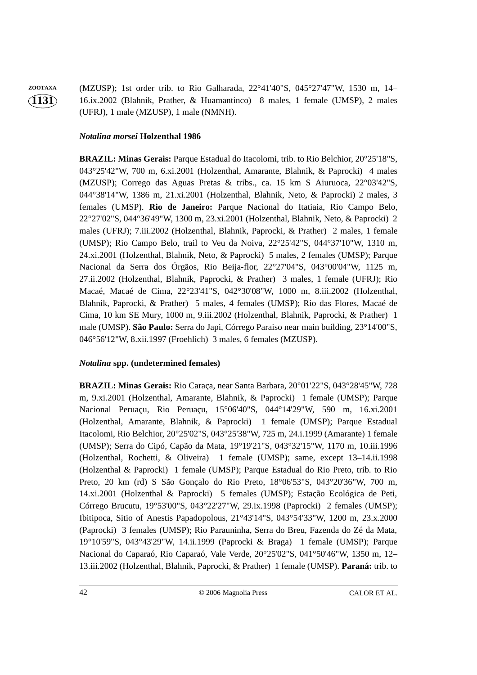**1131 ZOOTAXA** (MZUSP); 1st order trib. to Rio Galharada, 22°41'40"S, 045°27'47"W, 1530 m, 14– 16.ix.2002 (Blahnik, Prather, & Huamantinco) 8 males, 1 female (UMSP), 2 males (UFRJ), 1 male (MZUSP), 1 male (NMNH).

# *Notalina morsei* **Holzenthal 1986**

**BRAZIL: Minas Gerais:** Parque Estadual do Itacolomi, trib. to Rio Belchior, 20°25'18"S, 043°25'42"W, 700 m, 6.xi.2001 (Holzenthal, Amarante, Blahnik, & Paprocki) 4 males (MZUSP); Corrego das Aguas Pretas & tribs., ca. 15 km S Aiuruoca, 22°03'42"S, 044°38'14"W, 1386 m, 21.xi.2001 (Holzenthal, Blahnik, Neto, & Paprocki) 2 males, 3 females (UMSP). **Rio de Janeiro:** Parque Nacional do Itatiaia, Rio Campo Belo, 22°27'02"S, 044°36'49"W, 1300 m, 23.xi.2001 (Holzenthal, Blahnik, Neto, & Paprocki) 2 males (UFRJ); 7.iii.2002 (Holzenthal, Blahnik, Paprocki, & Prather) 2 males, 1 female (UMSP); Rio Campo Belo, trail to Veu da Noiva, 22°25'42"S, 044°37'10"W, 1310 m, 24.xi.2001 (Holzenthal, Blahnik, Neto, & Paprocki) 5 males, 2 females (UMSP); Parque Nacional da Serra dos Órgãos, Rio Beija-flor, 22°27'04"S, 043°00'04"W, 1125 m, 27.ii.2002 (Holzenthal, Blahnik, Paprocki, & Prather) 3 males, 1 female (UFRJ); Rio Macaé, Macaé de Cima, 22°23'41"S, 042°30'08"W, 1000 m, 8.iii.2002 (Holzenthal, Blahnik, Paprocki, & Prather) 5 males, 4 females (UMSP); Rio das Flores, Macaé de Cima, 10 km SE Mury, 1000 m, 9.iii.2002 (Holzenthal, Blahnik, Paprocki, & Prather) 1 male (UMSP). **São Paulo:** Serra do Japi, Córrego Paraiso near main building, 23°14'00"S, 046°56'12"W, 8.xii.1997 (Froehlich) 3 males, 6 females (MZUSP).

# *Notalina* **spp. (undetermined females)**

**BRAZIL: Minas Gerais:** Rio Caraça, near Santa Barbara, 20°01'22"S, 043°28'45"W, 728 m, 9.xi.2001 (Holzenthal, Amarante, Blahnik, & Paprocki) 1 female (UMSP); Parque Nacional Peruaçu, Rio Peruaçu, 15°06'40"S, 044°14'29"W, 590 m, 16.xi.2001 (Holzenthal, Amarante, Blahnik, & Paprocki) 1 female (UMSP); Parque Estadual Itacolomi, Rio Belchior, 20°25'02"S, 043°25'38"W, 725 m, 24.i.1999 (Amarante) 1 female (UMSP); Serra do Cipó, Capão da Mata, 19°19'21"S, 043°32'15"W, 1170 m, 10.iii.1996 (Holzenthal, Rochetti, & Oliveira) 1 female (UMSP); same, except 13–14.ii.1998 (Holzenthal & Paprocki) 1 female (UMSP); Parque Estadual do Rio Preto, trib. to Rio Preto, 20 km (rd) S São Gonçalo do Rio Preto, 18°06'53"S, 043°20'36"W, 700 m, 14.xi.2001 (Holzenthal & Paprocki) 5 females (UMSP); Estação Ecológica de Peti, Córrego Brucutu, 19°53'00"S, 043°22'27"W, 29.ix.1998 (Paprocki) 2 females (UMSP); Ibitipoca, Sitio of Anestis Papadopolous, 21°43'14"S, 043°54'33"W, 1200 m, 23.x.2000 (Paprocki) 3 females (UMSP); Rio Parauninha, Serra do Breu, Fazenda do Zé da Mata, 19°10'59"S, 043°43'29"W, 14.ii.1999 (Paprocki & Braga) 1 female (UMSP); Parque Nacional do Caparaó, Rio Caparaó, Vale Verde, 20°25'02"S, 041°50'46"W, 1350 m, 12– 13.iii.2002 (Holzenthal, Blahnik, Paprocki, & Prather) 1 female (UMSP). **Paraná:** trib. to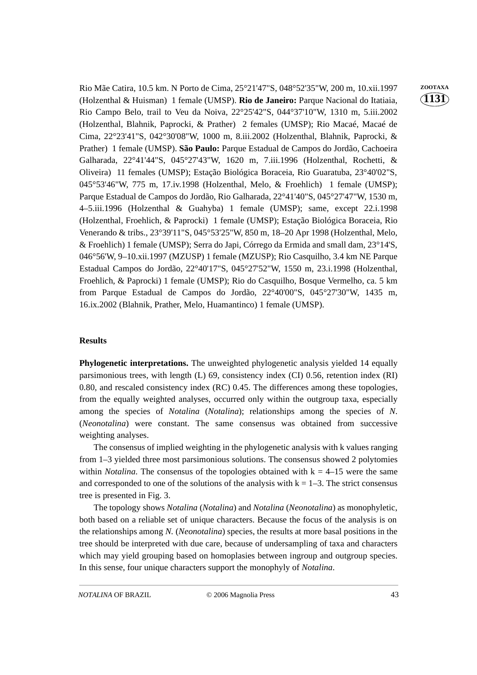Rio Mãe Catira, 10.5 km. N Porto de Cima, 25°21'47"S, 048°52'35"W, 200 m, 10.xii.1997 **ZOOTAXA** (Holzenthal & Huisman) 1 female (UMSP). **Rio de Janeiro:** Parque Nacional do Itatiaia, Rio Campo Belo, trail to Veu da Noiva, 22°25'42"S, 044°37'10"W, 1310 m, 5.iii.2002 (Holzenthal, Blahnik, Paprocki, & Prather) 2 females (UMSP); Rio Macaé, Macaé de Cima, 22°23'41"S, 042°30'08"W, 1000 m, 8.iii.2002 (Holzenthal, Blahnik, Paprocki, & Prather) 1 female (UMSP). **São Paulo:** Parque Estadual de Campos do Jordão, Cachoeira Galharada, 22°41'44"S, 045°27'43"W, 1620 m, 7.iii.1996 (Holzenthal, Rochetti, & Oliveira) 11 females (UMSP); Estação Biológica Boraceia, Rio Guaratuba, 23°40'02"S, 045°53'46"W, 775 m, 17.iv.1998 (Holzenthal, Melo, & Froehlich) 1 female (UMSP); Parque Estadual de Campos do Jordão, Rio Galharada, 22°41'40"S, 045°27'47"W, 1530 m, 4–5.iii.1996 (Holzenthal & Guahyba) 1 female (UMSP); same, except 22.i.1998 (Holzenthal, Froehlich, & Paprocki) 1 female (UMSP); Estação Biológica Boraceia, Rio Venerando & tribs., 23°39'11"S, 045°53'25"W, 850 m, 18–20 Apr 1998 (Holzenthal, Melo, & Froehlich) 1 female (UMSP); Serra do Japi, Córrego da Ermida and small dam, 23°14'S, 046°56'W, 9–10.xii.1997 (MZUSP) 1 female (MZUSP); Rio Casquilho, 3.4 km NE Parque Estadual Campos do Jordão, 22°40'17"S, 045°27'52"W, 1550 m, 23.i.1998 (Holzenthal, Froehlich, & Paprocki) 1 female (UMSP); Rio do Casquilho, Bosque Vermelho, ca. 5 km from Parque Estadual de Campos do Jordão, 22°40'00"S, 045°27'30"W, 1435 m, 16.ix.2002 (Blahnik, Prather, Melo, Huamantinco) 1 female (UMSP).

## **Results**

**Phylogenetic interpretations.** The unweighted phylogenetic analysis yielded 14 equally parsimonious trees, with length (L) 69, consistency index (CI) 0.56, retention index (RI) 0.80, and rescaled consistency index (RC) 0.45. The differences among these topologies, from the equally weighted analyses, occurred only within the outgroup taxa, especially among the species of *Notalina* (*Notalina*); relationships among the species of *N*. (*Neonotalina*) were constant. The same consensus was obtained from successive weighting analyses.

The consensus of implied weighting in the phylogenetic analysis with k values ranging from 1–3 yielded three most parsimonious solutions. The consensus showed 2 polytomies within *Notalina*. The consensus of the topologies obtained with  $k = 4-15$  were the same and corresponded to one of the solutions of the analysis with  $k = 1-3$ . The strict consensus tree is presented in Fig. 3.

The topology shows *Notalina* (*Notalina*) and *Notalina* (*Neonotalina*) as monophyletic, both based on a reliable set of unique characters. Because the focus of the analysis is on the relationships among *N.* (*Neonotalina*) species, the results at more basal positions in the tree should be interpreted with due care, because of undersampling of taxa and characters which may yield grouping based on homoplasies between ingroup and outgroup species. In this sense, four unique characters support the monophyly of *Notalina*.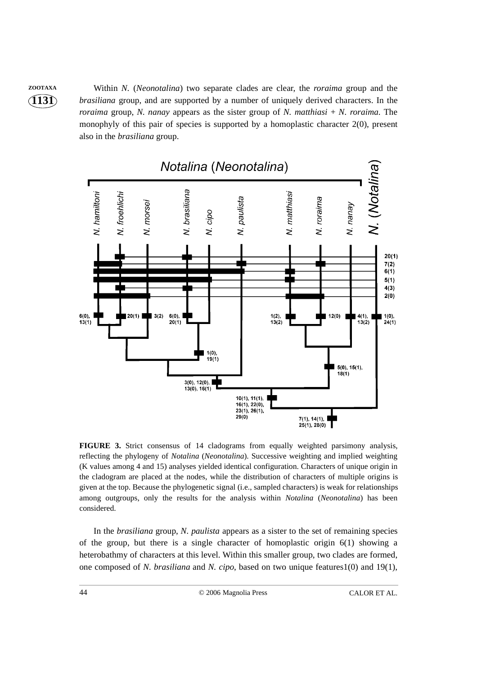**ZOOTAXA** Within *N.* (*Neonotalina*) two separate clades are clear, the *roraima* group and the *brasiliana* group, and are supported by a number of uniquely derived characters. In the *roraima* group, *N. nanay* appears as the sister group of *N. matthiasi* + *N. roraima*. The monophyly of this pair of species is supported by a homoplastic character 2(0), present also in the *brasiliana* group.



**FIGURE 3.** Strict consensus of 14 cladograms from equally weighted parsimony analysis, reflecting the phylogeny of *Notalina* (*Neonotalina*). Successive weighting and implied weighting (K values among 4 and 15) analyses yielded identical configuration. Characters of unique origin in the cladogram are placed at the nodes, while the distribution of characters of multiple origins is given at the top. Because the phylogenetic signal (i.e., sampled characters) is weak for relationships among outgroups, only the results for the analysis within *Notalina* (*Neonotalina*) has been considered.

In the *brasiliana* group, *N. paulista* appears as a sister to the set of remaining species of the group, but there is a single character of homoplastic origin 6(1) showing a heterobathmy of characters at this level. Within this smaller group, two clades are formed, one composed of *N. brasiliana* and *N. cipo*, based on two unique features1(0) and 19(1),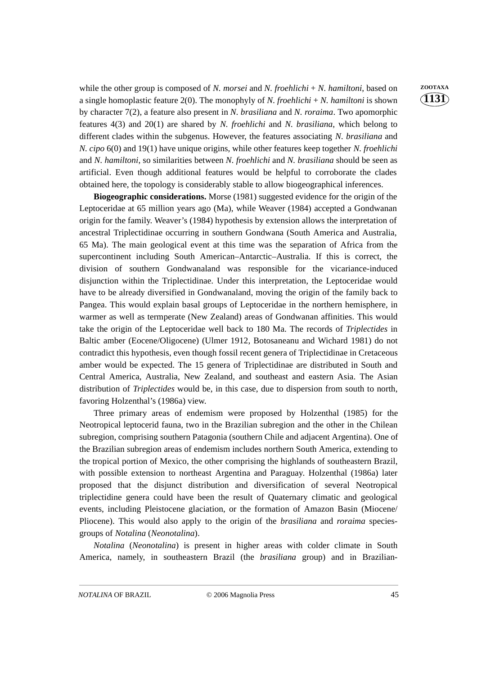while the other group is composed of *N. morsei* and *N. froehlichi* + *N. hamiltoni*, based on **ZOOTAXA** a single homoplastic feature 2(0). The monophyly of *N. froehlichi* + *N. hamiltoni* is shown by character 7(2), a feature also present in *N. brasiliana* and *N. roraima*. Two apomorphic features 4(3) and 20(1) are shared by *N. froehlichi* and *N. brasiliana*, which belong to different clades within the subgenus. However, the features associating *N. brasiliana* and *N. cipo* 6(0) and 19(1) have unique origins, while other features keep together *N. froehlichi* and *N. hamiltoni*, so similarities between *N. froehlichi* and *N. brasiliana* should be seen as artificial. Even though additional features would be helpful to corroborate the clades obtained here, the topology is considerably stable to allow biogeographical inferences.

**Biogeographic considerations.** Morse (1981) suggested evidence for the origin of the Leptoceridae at 65 million years ago (Ma), while Weaver (1984) accepted a Gondwanan origin for the family. Weaver's (1984) hypothesis by extension allows the interpretation of ancestral Triplectidinae occurring in southern Gondwana (South America and Australia, 65 Ma). The main geological event at this time was the separation of Africa from the supercontinent including South American–Antarctic–Australia. If this is correct, the division of southern Gondwanaland was responsible for the vicariance-induced disjunction within the Triplectidinae. Under this interpretation, the Leptoceridae would have to be already diversified in Gondwanaland, moving the origin of the family back to Pangea. This would explain basal groups of Leptoceridae in the northern hemisphere, in warmer as well as termperate (New Zealand) areas of Gondwanan affinities. This would take the origin of the Leptoceridae well back to 180 Ma. The records of *Triplectides* in Baltic amber (Eocene/Oligocene) (Ulmer 1912, Botosaneanu and Wichard 1981) do not contradict this hypothesis, even though fossil recent genera of Triplectidinae in Cretaceous amber would be expected. The 15 genera of Triplectidinae are distributed in South and Central America, Australia, New Zealand, and southeast and eastern Asia. The Asian distribution of *Triplectides* would be, in this case, due to dispersion from south to north, favoring Holzenthal's (1986a) view.

Three primary areas of endemism were proposed by Holzenthal (1985) for the Neotropical leptocerid fauna, two in the Brazilian subregion and the other in the Chilean subregion, comprising southern Patagonia (southern Chile and adjacent Argentina). One of the Brazilian subregion areas of endemism includes northern South America, extending to the tropical portion of Mexico, the other comprising the highlands of southeastern Brazil, with possible extension to northeast Argentina and Paraguay. Holzenthal (1986a) later proposed that the disjunct distribution and diversification of several Neotropical triplectidine genera could have been the result of Quaternary climatic and geological events, including Pleistocene glaciation, or the formation of Amazon Basin (Miocene/ Pliocene). This would also apply to the origin of the *brasiliana* and *roraima* speciesgroups of *Notalina* (*Neonotalina*).

*Notalina* (*Neonotalina*) is present in higher areas with colder climate in South America, namely, in southeastern Brazil (the *brasiliana* group) and in Brazilian-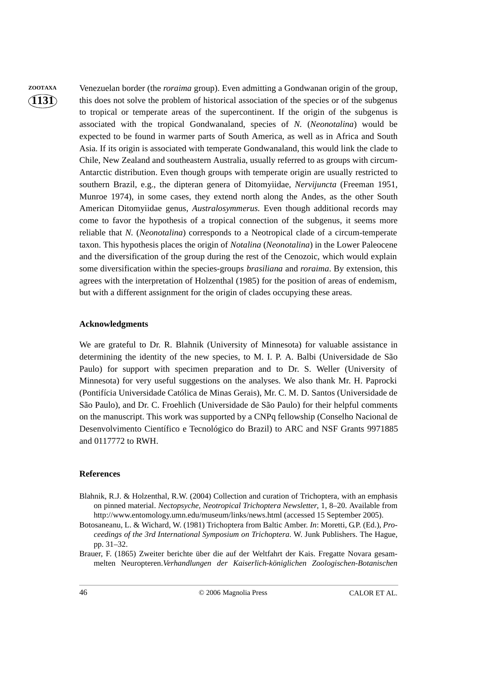**ZOOTAXA** Venezuelan border (the *roraima* group). Even admitting a Gondwanan origin of the group, this does not solve the problem of historical association of the species or of the subgenus to tropical or temperate areas of the supercontinent. If the origin of the subgenus is associated with the tropical Gondwanaland, species of *N.* (*Neonotalina*) would be expected to be found in warmer parts of South America, as well as in Africa and South Asia. If its origin is associated with temperate Gondwanaland, this would link the clade to Chile, New Zealand and southeastern Australia, usually referred to as groups with circum-Antarctic distribution. Even though groups with temperate origin are usually restricted to southern Brazil, e.g., the dipteran genera of Ditomyiidae, *Nervijuncta* (Freeman 1951, Munroe 1974), in some cases, they extend north along the Andes, as the other South American Ditomyiidae genus, *Australosymmerus*. Even though additional records may come to favor the hypothesis of a tropical connection of the subgenus, it seems more reliable that *N.* (*Neonotalina*) corresponds to a Neotropical clade of a circum-temperate taxon. This hypothesis places the origin of *Notalina* (*Neonotalina*) in the Lower Paleocene and the diversification of the group during the rest of the Cenozoic, which would explain some diversification within the species-groups *brasiliana* and *roraima*. By extension, this agrees with the interpretation of Holzenthal (1985) for the position of areas of endemism, but with a different assignment for the origin of clades occupying these areas.

#### **Acknowledgments**

We are grateful to Dr. R. Blahnik (University of Minnesota) for valuable assistance in determining the identity of the new species, to M. I. P. A. Balbi (Universidade de São Paulo) for support with specimen preparation and to Dr. S. Weller (University of Minnesota) for very useful suggestions on the analyses. We also thank Mr. H. Paprocki (Pontifícia Universidade Católica de Minas Gerais), Mr. C. M. D. Santos (Universidade de São Paulo), and Dr. C. Froehlich (Universidade de São Paulo) for their helpful comments on the manuscript. This work was supported by a CNPq fellowship (Conselho Nacional de Desenvolvimento Científico e Tecnológico do Brazil) to ARC and NSF Grants 9971885 and 0117772 to RWH.

#### **References**

- Blahnik, R.J. & Holzenthal, R.W. (2004) Collection and curation of Trichoptera, with an emphasis on pinned material. *Nectopsyche, Neotropical Trichoptera Newsletter*, 1, 8–20. Available from http://www.entomology.umn.edu/museum/links/news.html (accessed 15 September 2005).
- Botosaneanu, L. & Wichard, W. (1981) Trichoptera from Baltic Amber. *In*: Moretti, G.P. (Ed.), *Proceedings of the 3rd International Symposium on Trichoptera*. W. Junk Publishers. The Hague, pp. 31–32.
- Brauer, F. (1865) Zweiter berichte über die auf der Weltfahrt der Kais. Fregatte Novara gesammelten Neuropteren.*Verhandlungen der Kaiserlich-königlichen Zoologischen-Botanischen*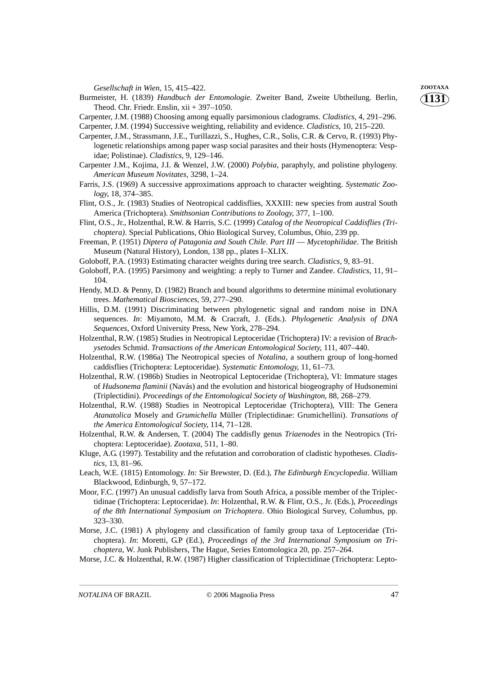*Gesellschaft in Wien,* 15, 415–422. **ZOOTAXA**

- Burmeister, H. (1839) *Handbuch der Entomologie.* Zweiter Band, Zweite Ubtheilung. Berlin, Theod. Chr. Friedr. Enslin, xii + 397–1050.
- Carpenter, J.M. (1988) Choosing among equally parsimonious cladograms. *Cladistics*, 4, 291–296.

Carpenter, J.M. (1994) Successive weighting, reliability and evidence. *Cladistics*, 10, 215–220.

- Carpenter, J.M., Strassmann, J.E., Turillazzi, S., Hughes, C.R., Solis, C.R. & Cervo, R. (1993) Phylogenetic relationships among paper wasp social parasites and their hosts (Hymenoptera: Vespidae; Polistinae). *Cladistics*, 9, 129–146.
- Carpenter J.M., Kojima, J.I. & Wenzel, J.W. (2000) *Polybia*, paraphyly, and polistine phylogeny. *American Museum Novitates*, 3298, 1–24.
- Farris, J.S. (1969) A successive approximations approach to character weighting. *Systematic Zoology*, 18, 374–385.
- Flint, O.S., Jr. (1983) Studies of Neotropical caddisflies, XXXIII: new species from austral South America (Trichoptera). *Smithsonian Contributions to Zoology*, 377, 1–100.
- Flint, O.S., Jr., Holzenthal, R.W. & Harris, S.C. (1999) *Catalog of the Neotropical Caddisflies (Trichoptera)*. Special Publications, Ohio Biological Survey, Columbus, Ohio, 239 pp.
- Freeman, P. (1951) *Diptera of Patagonia and South Chile. Part III* — *Mycetophilidae*. The British Museum (Natural History), London, 138 pp., plates I–XLIX.
- Goloboff, P.A. (1993) Estimating character weights during tree search. *Cladistics*, 9, 83–91.
- Goloboff, P.A. (1995) Parsimony and weighting: a reply to Turner and Zandee. *Cladistics*, 11, 91– 104.
- Hendy, M.D. & Penny, D. (1982) Branch and bound algorithms to determine minimal evolutionary trees. *Mathematical Biosciences*, 59, 277–290.
- Hillis, D.M. (1991) Discriminating between phylogenetic signal and random noise in DNA sequences. *In*: Miyamoto, M.M. & Cracraft, J. (Eds.). *Phylogenetic Analysis of DNA Sequences*, Oxford University Press, New York, 278–294.
- Holzenthal, R.W. (1985) Studies in Neotropical Leptoceridae (Trichoptera) IV: a revision of *Brachysetodes* Schmid. *Transactions of the American Entomological Society*, 111, 407–440.
- Holzenthal, R.W. (1986a) The Neotropical species of *Notalina*, a southern group of long-horned caddisflies (Trichoptera: Leptoceridae). *Systematic Entomology*, 11, 61–73.
- Holzenthal, R.W. (1986b) Studies in Neotropical Leptoceridae (Trichoptera), VI: Immature stages of *Hudsonema flaminii* (Navás) and the evolution and historical biogeography of Hudsonemini (Triplectidini). *Proceedings of the Entomological Society of Washington*, 88, 268–279.
- Holzenthal, R.W. (1988) Studies in Neotropical Leptoceridae (Trichoptera), VIII: The Genera *Atanatolica* Mosely and *Grumichella* Müller (Triplectidinae: Grumichellini). *Transations of the America Entomological Society*, 114, 71–128.
- Holzenthal, R.W. & Andersen, T. (2004) The caddisfly genus *Triaenodes* in the Neotropics (Trichoptera: Leptoceridae). *Zootaxa*, 511, 1–80.
- Kluge, A.G. (1997). Testability and the refutation and corroboration of cladistic hypotheses. *Cladistics*, 13, 81–96.
- Leach, W.E. (1815) Entomology. *In:* Sir Brewster, D. (Ed.), *The Edinburgh Encyclopedia*. William Blackwood, Edinburgh, 9, 57–172.
- Moor, F.C. (1997) An unusual caddisfly larva from South Africa, a possible member of the Triplectidinae (Trichoptera: Leptoceridae). *In*: Holzenthal, R.W. & Flint, O.S., Jr. (Eds.), *Proceedings of the 8th International Symposium on Trichoptera*. Ohio Biological Survey, Columbus, pp. 323–330.
- Morse, J.C. (1981) A phylogeny and classification of family group taxa of Leptoceridae (Trichoptera). *In*: Moretti, G.P (Ed.), *Proceedings of the 3rd International Symposium on Trichoptera*, W. Junk Publishers, The Hague, Series Entomologica 20, pp. 257–264.
- Morse, J.C. & Holzenthal, R.W. (1987) Higher classification of Triplectidinae (Trichoptera: Lepto-